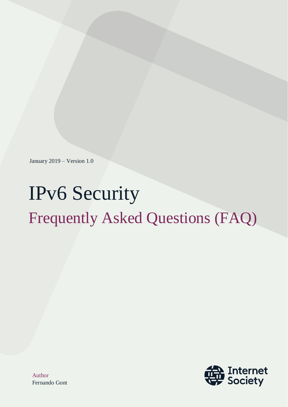January 2019 – Version 1.0

# IPv6 Security Frequently Asked Questions (FAQ)



Author Fernando Gont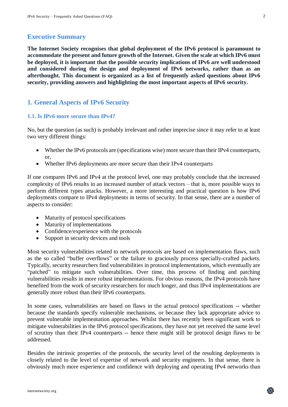# **Executive Summary**

**The Internet Society recognises that global deployment of the IPv6 protocol is paramount to accommodate the present and future growth of the Internet. Given the scale at which IPv6 must be deployed, it is important that the possible security implications of IPv6 are well understood and considered during the design and deployment of IPv6 networks, rather than as an afterthought. This document is organized as a list of frequently asked questions about IPv6 security, providing answers and highlighting the most important aspects of IPv6 security.**

# **1. General Aspects of IPv6 Security**

## **1.1. Is IPv6 more secure than IPv4?**

No, but the question (as such) is probably irrelevant and rather imprecise since it may refer to at least two very different things:

- Whether the IPv6 protocols are (specifications wise) more secure than their IPv4 counterparts, or,
- Whether IPv6 deployments are more secure than their IPv4 counterparts

If one compares IPv6 and IPv4 at the protocol level, one may probably conclude that the increased complexity of IPv6 results in an increased number of attack vectors – that is, more possible ways to perform different types attacks. However, a more interesting and practical question is how IPv6 deployments compare to IPv4 deployments in terms of security. In that sense, there are a number of aspects to consider:

- Maturity of protocol specifications
- Maturity of implementations
- Confidence/experience with the protocols
- Support in security devices and tools

Most security vulnerabilities related to network protocols are based on implementation flaws, such as the so called "buffer overflows" or the failure to graciously process specially-crafted packets. Typically, security researchers find vulnerabilities in protocol implementations, which eventually are "patched" to mitigate such vulnerabilities. Over time, this process of finding and patching vulnerabilities results in more robust implementations. For obvious reasons, the IPv4 protocols have benefited from the work of security researchers for much longer, and thus IPv4 implementations are generally more robust than their IPv6 counterparts.

In some cases, vulnerabilities are based on flaws in the actual protocol specifications -- whether because the standards specify vulnerable mechanisms, or because they lack appropriate advice to prevent vulnerable implementation approaches. Whilst there has recently been significant work to mitigate vulnerabilities in the IPv6 protocol specifications, they have not yet received the same level of scrutiny than their IPv4 counterparts -- hence there might still be protocol design flaws to be addressed.

Besides the intrinsic properties of the protocols, the security level of the resulting deployments is closely related to the level of expertise of network and security engineers. In that sense, there is obviously much more experience and confidence with deploying and operating IPv4 networks than

2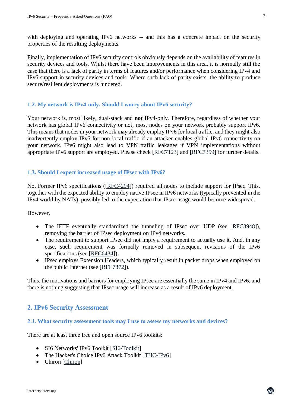with deploying and operating IPv6 networks -- and this has a concrete impact on the security properties of the resulting deployments.

Finally, implementation of IPv6 security controls obviously depends on the availability of features in security devices and tools. Whilst there have been improvements in this area, it is normally still the case that there is a lack of parity in terms of features and/or performance when considering IPv4 and IPv6 support in security devices and tools. Where such lack of parity exists, the ability to produce secure/resilient deployments is hindered.

# **1.2. My network is IPv4-only. Should I worry about IPv6 security?**

Your network is, most likely, dual-stack and **not** IPv4-only. Therefore, regardless of whether your network has global IPv6 connectivity or not, most nodes on your network probably support IPv6. This means that nodes in your network may already employ IPv6 for local traffic, and they might also inadvertently employ IPv6 for non-local traffic if an attacker enables global IPv6 connectivity on your network. IPv6 might also lead to VPN traffic leakages if VPN implementations without appropriate IPv6 support are employed. Please check [\[RFC7123\]](http://www.rfc-editor.org/info/rfc7123) and [\[RFC7359\]](http://www.rfc-editor.org/info/rfc7359) for further details.

# **1.3. Should I expect increased usage of IPsec with IPv6?**

No. Former IPv6 specifications ([\[RFC4294\]](https://www.rfc-editor.org/info/rfc4294)) required all nodes to include support for IPsec. This, together with the expected ability to employ native IPsec in IPv6 networks (typically prevented in the IPv4 world by NATs), possibly led to the expectation that IPsec usage would become widespread.

However,

- The IETF eventually standardized the tunneling of IPsec over UDP (see [\[RFC3948\]](http://www.rfc-editor.org/info/rfc3948)), removing the barrier of IPsec deployment on IPv4 networks.
- The requirement to support IPsec did not imply a requirement to actually use it. And, in any case, such requirement was formally removed in subsequent revisions of the IPv6 specifications (see [\[RFC6434\]](https://www.rfc-editor.org/info/rfc6434)).
- IPsec employs Extension Headers, which typically result in packet drops when employed on the public Internet (see [\[RFC7872\]](https://www.rfc-editor.org/info/rfc7872)).

Thus, the motivations and barriers for employing IPsec are essentially the same in IPv4 and IPv6, and there is nothing suggesting that IPsec usage will increase as a result of IPv6 deployment.

# **2. IPv6 Security Assessment**

## **2.1. What security assessment tools may I use to assess my networks and devices?**

There are at least three free and open source IPv6 toolkits:

- SI6 Networks' IPv6 Toolkit [\[SI6-Toolkit\]](https://www.si6networks.com/tools/ipv6toolkit)
- The Hacker's Choice IPv6 Attack Toolkit [\[THC-IPv6\]](https://github.com/vanhauser-thc/thc-ipv6)
- Chiron [\[Chiron\]](https://github.com/aatlasis/Chiron)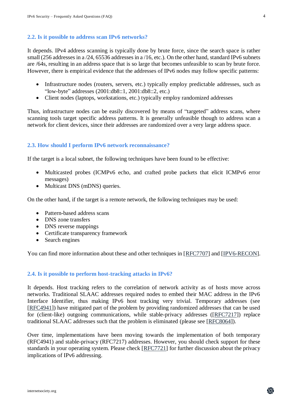## **2.2. Is it possible to address scan IPv6 networks?**

It depends. IPv4 address scanning is typically done by brute force, since the search space is rather small (256 addresses in a /24, 65536 addresses in a /16, etc.). On the other hand, standard IPv6 subnets are /64s, resulting in an address space that is so large that becomes unfeasible to scan by brute force. However, there is empirical evidence that the addresses of IPv6 nodes may follow specific patterns:

- Infrastructure nodes (routers, servers, etc.) typically employ predictable addresses, such as "low-byte" addresses (2001:db8::1, 2001:db8::2, etc.)
- Client nodes (laptops, workstations, etc.) typically employ randomized addresses

Thus, infrastructure nodes can be easily discovered by means of "targeted" address scans, where scanning tools target specific address patterns. It is generally unfeasible though to address scan a network for client devices, since their addresses are randomized over a very large address space.

## **2.3. How should I perform IPv6 network reconnaissance?**

If the target is a local subnet, the following techniques have been found to be effective:

- Multicasted probes (ICMPv6 echo, and crafted probe packets that elicit ICMPv6 error messages)
- Multicast DNS (mDNS) queries.

On the other hand, if the target is a remote network, the following techniques may be used:

- Pattern-based address scans
- DNS zone transfers
- DNS reverse mappings
- Certificate transparency framework
- Search engines

You can find more information about these and other techniques in [\[RFC7707\]](https://www.rfc-editor.org/info/rfc7707) and [\[IPV6-RECON\]](https://searchsecurity.techtarget.com/tip/How-to-perform-IPv6-network-reconnaissance).

## **2.4. Is it possible to perform host-tracking attacks in IPv6?**

It depends. Host tracking refers to the correlation of network activity as of hosts move across networks. Traditional SLAAC addresses required nodes to embed their MAC address in the IPv6 Interface Identifier, thus making IPv6 host tracking very trivial. Temporary addresses (see [\[RFC4941\]](https://www.rfc-editor.org/info/rfc4941)) have mitigated part of the problem by providing randomized addresses that can be used for (client-like) outgoing communications, while stable-privacy addresses ([\[RFC7217\]](http://www.rfc-editor.org/info/rfc7217)) replace traditional SLAAC addresses such that the problem is eliminated (please see [\[RFC8064\]](https://www.rfc-editor.org/info/rfc8064)).

Over time, implementations have been moving towards the implementation of both temporary (RFC4941) and stable-privacy (RFC7217) addresses. However, you should check support for these standards in your operating system. Please check [\[RFC7721\]](https://www.rfc-editor.org/info/rfc7721) for further discussion about the privacy implications of IPv6 addressing.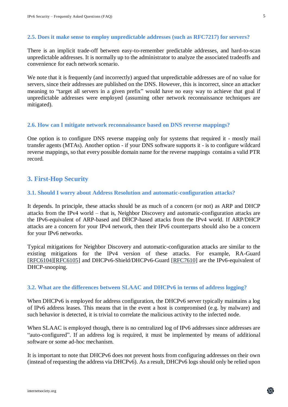## **2.5. Does it make sense to employ unpredictable addresses (such as RFC7217) for servers?**

There is an implicit trade-off between easy-to-remember predictable addresses, and hard-to-scan unpredictable addresses. It is normally up to the administrator to analyze the associated tradeoffs and convenience for each network scenario.

We note that it is frequently (and incorrectly) argued that unpredictable addresses are of no value for servers, since their addresses are published on the DNS. However, this is incorrect, since an attacker meaning to "target all servers in a given prefix" would have no easy way to achieve that goal if unpredictable addresses were employed (assuming other network reconnaissance techniques are mitigated).

## **2.6. How can I mitigate network reconnaissance based on DNS reverse mappings?**

One option is to configure DNS reverse mapping only for systems that required it - mostly mail transfer agents (MTAs). Another option - if your DNS software supports it - is to configure wildcard reverse mappings, so that every possible domain name for the reverse mappings contains a valid PTR record.

# **3. First-Hop Security**

#### **3.1. Should I worry about Address Resolution and automatic-configuration attacks?**

It depends. In principle, these attacks should be as much of a concern (or not) as ARP and DHCP attacks from the IPv4 world – that is, Neighbor Discovery and automatic-configuration attacks are the IPv6-equivalent of ARP-based and DHCP-based attacks from the IPv4 world. If ARP/DHCP attacks are a concern for your IPv4 network, then their IPv6 counterparts should also be a concern for your IPv6 networks.

Typical mitigations for Neighbor Discovery and automatic-configuration attacks are similar to the existing mitigations for the IPv4 version of these attacks. For example, RA-Guard [\[RFC6104\]](http://www.rfc-editor.org/info/rfc6104)[\[RFC6105\]](http://www.rfc-editor.org/info/rfc6105) and DHCPv6-Shield/DHCPv6-Guard [\[RFC7610\]](http://www.rfc-editor.org/info/rfc7610) are the IPv6-equivalent of DHCP-snooping.

#### **3.2. What are the differences between SLAAC and DHCPv6 in terms of address logging?**

When DHCPv6 is employed for address configuration, the DHCPv6 server typically maintains a log of IPv6 address leases. This means that in the event a host is compromised (e.g. by malware) and such behavior is detected, it is trivial to correlate the malicious activity to the infected node.

When SLAAC is employed though, there is no centralized log of IPv6 addresses since addresses are "auto-configured". If an address log is required, it must be implemented by means of additional software or some ad-hoc mechanism.

It is important to note that DHCPv6 does not prevent hosts from configuring addresses on their own (instead of requesting the address via DHCPv6). As a result, DHCPv6 logs should only be relied upon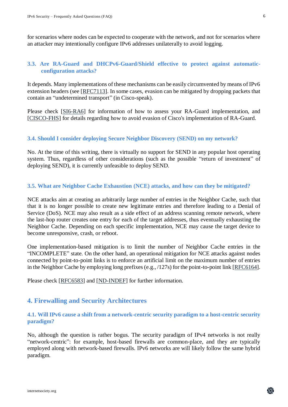# **3.3. Are RA-Guard and DHCPv6-Guard/Shield effective to protect against automaticconfiguration attacks?**

It depends. Many implementations of these mechanisms can be easily circumvented by means of IPv6 extension headers (see [\[RFC7113\]](http://www.rfc-editor.org/info/rfc7113). In some cases, evasion can be mitigated by dropping packets that contain an "undetermined transport" (in Cisco-speak).

Please check [\[SI6-RA6\]](https://manpages.debian.org/jessie/ipv6toolkit/ra6.1.en.html) for information of how to assess your RA-Guard implementation, and [\[CISCO-FHS\]](http://docwiki.cisco.com/wiki/FHS) for details regarding how to avoid evasion of Cisco's implementation of RA-Guard.

# **3.4. Should I consider deploying Secure Neighbor Discovery (SEND) on my network?**

No. At the time of this writing, there is virtually no support for SEND in any popular host operating system. Thus, regardless of other considerations (such as the possible "return of investment" of deploying SEND), it is currently unfeasible to deploy SEND.

# **3.5. What are Neighbor Cache Exhaustion (NCE) attacks, and how can they be mitigated?**

NCE attacks aim at creating an arbitrarily large number of entries in the Neighbor Cache, such that that it is no longer possible to create new legitimate entries and therefore leading to a Denial of Service (DoS). NCE may also result as a side effect of an address scanning remote network, where the last-hop router creates one entry for each of the target addresses, thus eventually exhausting the Neighbor Cache. Depending on each specific implementation, NCE may cause the target device to become unresponsive, crash, or reboot.

One implementation-based mitigation is to limit the number of Neighbor Cache entries in the "INCOMPLETE" state. On the other hand, an operational mitigation for NCE attacks against nodes connected by point-to-point links is to enforce an artificial limit on the maximum number of entries in the Neighbor Cache by employing long prefixes (e.g., /127s) for the point-to-point link [\[RFC6164\]](http://www.rfc-editor.org/info/rfc6164).

Please check [\[RFC6583\]](http://www.rfc-editor.org/info/rfc6583) and [\[ND-INDEF\]](http://www.iepg.org/2018-07-15-ietf102/indefensible-neighbors.pdf) for further information.

# **4. Firewalling and Security Architectures**

# **4.1. Will IPv6 cause a shift from a network-centric security paradigm to a host-centric security paradigm?**

No, although the question is rather bogus. The security paradigm of IPv4 networks is not really "network-centric": for example, host-based firewalls are common-place, and they are typically employed along with network-based firewalls. IPv6 networks are will likely follow the same hybrid paradigm.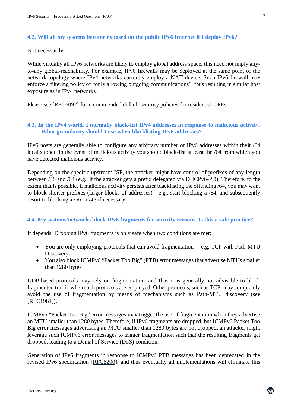#### **4.2. Will all my systems become exposed on the public IPv6 Internet if I deploy IPv6?**

Not necessarily.

While virtually all IPv6 networks are likely to employ global address space, this need not imply anyto-any global-reachability. For example, IPv6 firewalls may be deployed at the same point of the network topology where IPv4 networks currently employ a NAT device. Such IPv6 firewall may enforce a filtering policy of "only allowing outgoing communications", thus resulting in similar host exposure as in IPv4 networks.

Please see [\[RFC6092\]](https://www.rfc-editor.org/info/rfc6092) for recommended default security policies for residential CPEs.

# **4.3. In the IPv4 world, I normally black-list IPv4 addresses in response to malicious activity. What granularity should I use when blacklisting IPv6 addresses?**

IPv6 hosts are generally able to configure any arbitrary number of IPv6 addresses within their /64 local subnet. In the event of malicious activity you should black-list at least the /64 from which you have detected malicious activity.

Depending on the specific upstream ISP, the attacker might have control of prefixes of any length between /48 and /64 (e.g., if the attacker gets a prefix delegated via DHCPv6-PD). Therefore, to the extent that is possible, if malicious activity persists after blacklisting the offending /64, you may want to block shorter prefixes (larger blocks of addresses) - e.g., start blocking a /64, and subsequently resort to blocking a /56 or /48 if necessary.

## **4.4. My systems/networks block IPv6 fragments for security reasons. Is this a safe practice?**

It depends. Dropping IPv6 fragments is only safe when two conditions are met:

- You are only employing protocols that can avoid fragmentation -- e.g. TCP with Path-MTU **Discovery**
- You also block ICMPv6 "Packet Too Big" (PTB) error messages that advertise MTUs smaller than 1280 bytes

UDP-based protocols may rely on fragmentation, and thus it is generally not advisable to block fragmented traffic when such protocols are employed. Other protocols, such as TCP, may completely avoid the use of fragmentation by means of mechanisms such as Path-MTU discovery (see [RFC1981]).

ICMPv6 "Packet Too Big" error messages may trigger the use of fragmentation when they advertise an MTU smaller than 1280 bytes. Therefore, if IPv6 fragments are dropped, but ICMPv6 Packet Too Big error messages advertising an MTU smaller than 1280 bytes are not dropped, an attacker might leverage such ICMPv6 error messages to trigger fragmentation such that the resulting fragments get dropped, leading to a Denial of Service (DoS) condition.

Generation of IPv6 fragments in response to ICMPv6 PTB messages has been deprecated in the revised IPv6 specification [\[RFC8200\]](https://www.rfc-editor.org/info/rfc8200), and thus eventually all implementations will eliminate this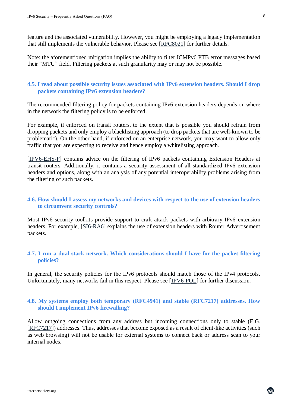feature and the associated vulnerability. However, you might be employing a legacy implementation that still implements the vulnerable behavior. Please see [\[RFC8021\]](https://www.rfc-editor.org/info/rfc8021) for further details.

Note: the aforementioned mitigation implies the ability to filter ICMPv6 PTB error messages based their "MTU" field. Filtering packets at such granularity may or may not be possible.

# **4.5. I read about possible security issues associated with IPv6 extension headers. Should I drop packets containing IPv6 extension headers?**

The recommended filtering policy for packets containing IPv6 extension headers depends on where in the network the filtering policy is to be enforced.

For example, if enforced on transit routers, to the extent that is possible you should refrain from dropping packets and only employ a blacklisting approach (to drop packets that are well-known to be problematic). On the other hand, if enforced on an enterprise network, you may want to allow only traffic that you are expecting to receive and hence employ a whitelisting approach.

[\[IPV6-EHS-F\]](https://tools.ietf.org/html/draft-ietf-opsec-ipv6-eh-filtering) contains advice on the filtering of IPv6 packets containing Extension Headers at transit routers. Additionally, it contains a security assessment of all standardized IPv6 extension headers and options, along with an analysis of any potential interoperability problems arising from the filtering of such packets.

## **4.6. How should I assess my networks and devices with respect to the use of extension headers to circumvent security controls?**

Most IPv6 security toolkits provide support to craft attack packets with arbitrary IPv6 extension headers. For example, [\[SI6-RA6\]](https://manpages.debian.org/jessie/ipv6toolkit/ra6.1.en.html) explains the use of extension headers with Router Advertisement packets.

# **4.7. I run a dual-stack network. Which considerations should I have for the packet filtering policies?**

In general, the security policies for the IPv6 protocols should match those of the IPv4 protocols. Unfortunately, many networks fail in this respect. Please see [\[IPV6-POL\]](https://searchsecurity.techtarget.com/tip/What-to-do-when-IPV4-and-IPv6-policies-disagree) for further discussion.

# **4.8. My systems employ both temporary (RFC4941) and stable (RFC7217) addresses. How should I implement IPv6 firewalling?**

Allow outgoing connections from any address but incoming connections only to stable (E.G. [\[RFC7217\]](https://www.rfc-editor.org/info/rfc7217)) addresses. Thus, addresses that become exposed as a result of client-like activities (such as web browsing) will not be usable for external systems to connect back or address scan to your internal nodes.

蟲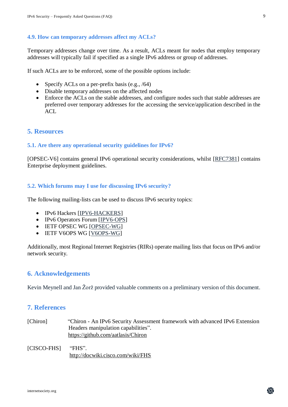#### **4.9. How can temporary addresses affect my ACLs?**

Temporary addresses change over time. As a result, ACLs meant for nodes that employ temporary addresses will typically fail if specified as a single IPv6 address or group of addresses.

If such ACLs are to be enforced, some of the possible options include:

- Specify ACLs on a per-prefix basis (e.g.,  $/64$ )
- Disable temporary addresses on the affected nodes
- Enforce the ACLs on the stable addresses, and configure nodes such that stable addresses are preferred over temporary addresses for the accessing the service/application described in the ACL

# **5. Resources**

## **5.1. Are there any operational security guidelines for IPv6?**

[OPSEC-V6] contains general IPv6 operational security considerations, whilst [\[RFC7381\]](https://www.rfc-editor.org/info/rfc7381) contains Enterprise deployment guidelines.

#### **5.2. Which forums may I use for discussing IPv6 security?**

The following mailing-lists can be used to discuss IPv6 security topics:

- IPv6 Hackers [\[IPV6-HACKERS\]](https://lists.si6networks.com/listinfo/ipv6hackers/)
- IPv6 Operators Forum [\[IPV6-OPS\]](http://lists.cluenet.de/mailman/listinfo/ipv6-ops/)
- IETF OPSEC WG [\[OPSEC-WG\]](https://www.ietf.org/mailman/listinfo/opsec)
- IETF V6OPS WG [\[V6OPS-WG\]](https://www.ietf.org/mailman/listinfo/v6ops)

Additionally, most Regional Internet Registries (RIRs) operate mailing lists that focus on IPv6 and/or network security.

## **6. Acknowledgements**

Kevin Meynell and Jan Žorž provided valuable comments on a preliminary version of this document.

# **7. References**

[Chiron] "Chiron - An IPv6 Security Assessment framework with advanced IPv6 Extension Headers manipulation capabilities". <https://github.com/aatlasis/Chiron>

[CISCO-FHS] "FHS". <http://docwiki.cisco.com/wiki/FHS>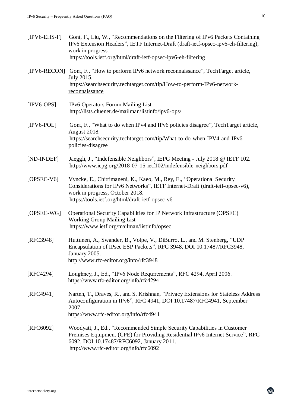| $[IPV6-EHS-F]$ | Gont, F., Liu, W., "Recommendations on the Filtering of IPv6 Packets Containing    |
|----------------|------------------------------------------------------------------------------------|
|                | IPv6 Extension Headers", IETF Internet-Draft (draft-ietf-opsec-ipv6-eh-filtering), |
|                | work in progress.                                                                  |
|                | https://tools.ietf.org/html/draft-ietf-opsec-ipv6-eh-filtering                     |
|                |                                                                                    |

- [IPV6-RECON] Gont, F., "How to perform IPv6 network reconnaissance", TechTarget article, July 2015. [https://searchsecurity.techtarget.com/tip/How-to-perform-IPv6-network](https://searchsecurity.techtarget.com/tip/How-to-perform-IPv6-network-reconnaissance)[reconnaissance](https://searchsecurity.techtarget.com/tip/How-to-perform-IPv6-network-reconnaissance)
- [IPV6-OPS] IPv6 Operators Forum Mailing List <http://lists.cluenet.de/mailman/listinfo/ipv6-ops/>
- [IPV6-POL] Gont, F., "What to do when IPv4 and IPv6 policies disagree", TechTarget article, August 2018. [https://searchsecurity.techtarget.com/tip/What-to-do-when-IPV4-and-IPv6](https://searchsecurity.techtarget.com/tip/What-to-do-when-IPV4-and-IPv6-policies-disagree) [policies-disagree](https://searchsecurity.techtarget.com/tip/What-to-do-when-IPV4-and-IPv6-policies-disagree)
- [ND-INDEF] Jaeggli, J., "Indefensible Neighbors", IEPG Meeting July 2018 @ IETF 102. <http://www.iepg.org/2018-07-15-ietf102/indefensible-neighbors.pdf>
- [OPSEC-V6] Vyncke, E., Chittimaneni, K., Kaeo, M., Rey, E., "Operational Security Considerations for IPv6 Networks", IETF Internet-Draft (draft-ietf-opsec-v6), work in progress, October 2018. <https://tools.ietf.org/html/draft-ietf-opsec-v6>
- [OPSEC-WG] Operational Security Capabilities for IP Network Infrastructure (OPSEC) Working Group Mailing List <https://www.ietf.org/mailman/listinfo/opsec>
- [RFC3948] Huttunen, A., Swander, B., Volpe, V., DiBurro, L., and M. Stenberg, "UDP Encapsulation of IPsec ESP Packets", RFC 3948, DOI 10.17487/RFC3948, January 2005. <http://www.rfc-editor.org/info/rfc3948>
- [RFC4294] Loughney, J., Ed., "IPv6 Node Requirements", RFC 4294, April 2006. <https://www.rfc-editor.org/info/rfc4294>
- [RFC4941] Narten, T., Draves, R., and S. Krishnan, "Privacy Extensions for Stateless Address Autoconfiguration in IPv6", RFC 4941, DOI 10.17487/RFC4941, September 2007. <https://www.rfc-editor.org/info/rfc4941>
- [RFC6092] Woodyatt, J., Ed., "Recommended Simple Security Capabilities in Customer Premises Equipment (CPE) for Providing Residential IPv6 Internet Service", RFC 6092, DOI 10.17487/RFC6092, January 2011. <http://www.rfc-editor.org/info/rfc6092>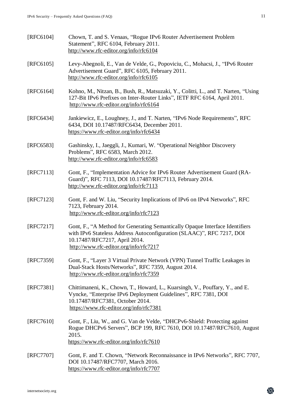- [RFC6104] Chown, T. and S. Venaas, "Rogue IPv6 Router Advertisement Problem Statement", RFC 6104, February 2011. <http://www.rfc-editor.org/info/rfc6104>
- [RFC6105] Levy-Abegnoli, E., Van de Velde, G., Popoviciu, C., Mohacsi, J., "IPv6 Router Advertisement Guard", RFC 6105, February 2011. <http://www.rfc-editor.org/info/rfc6105>
- [RFC6164] Kohno, M., Nitzan, B., Bush, R., Matsuzaki, Y., Colitti, L., and T. Narten, "Using 127-Bit IPv6 Prefixes on Inter-Router Links", IETF RFC 6164, April 2011. <http://www.rfc-editor.org/info/rfc6164>
- [RFC6434] Jankiewicz, E., Loughney, J., and T. Narten, "IPv6 Node Requirements", RFC 6434, DOI 10.17487/RFC6434, December 2011. <https://www.rfc-editor.org/info/rfc6434>
- [RFC6583] Gashinsky, I., Jaeggli, J., Kumari, W. "Operational Neighbor Discovery Problems", RFC 6583, March 2012. <http://www.rfc-editor.org/info/rfc6583>
- [RFC7113] Gont, F., "Implementation Advice for IPv6 Router Advertisement Guard (RA-Guard)", RFC 7113, DOI 10.17487/RFC7113, February 2014. <http://www.rfc-editor.org/info/rfc7113>
- [RFC7123] Gont, F. and W. Liu, "Security Implications of IPv6 on IPv4 Networks", RFC 7123, February 2014. <http://www.rfc-editor.org/info/rfc7123>
- [RFC7217] Gont, F., "A Method for Generating Semantically Opaque Interface Identifiers with IPv6 Stateless Address Autoconfiguration (SLAAC)", RFC 7217, DOI 10.17487/RFC7217, April 2014. <http://www.rfc-editor.org/info/rfc7217>
- [RFC7359] Gont, F., "Layer 3 Virtual Private Network (VPN) Tunnel Traffic Leakages in Dual-Stack Hosts/Networks", RFC 7359, August 2014. <http://www.rfc-editor.org/info/rfc7359>
- [RFC7381] Chittimaneni, K., Chown, T., Howard, L., Kuarsingh, V., Pouffary, Y., and E. Vyncke, "Enterprise IPv6 Deployment Guidelines", RFC 7381, DOI 10.17487/RFC7381, October 2014. <https://www.rfc-editor.org/info/rfc7381>
- [RFC7610] Gont, F., Liu, W., and G. Van de Velde, "DHCPv6-Shield: Protecting against Rogue DHCPv6 Servers", BCP 199, RFC 7610, DOI 10.17487/RFC7610, August 2015. <https://www.rfc-editor.org/info/rfc7610>
- [RFC7707] Gont, F. and T. Chown, "Network Reconnaissance in IPv6 Networks", RFC 7707, DOI 10.17487/RFC7707, March 2016. <https://www.rfc-editor.org/info/rfc7707>